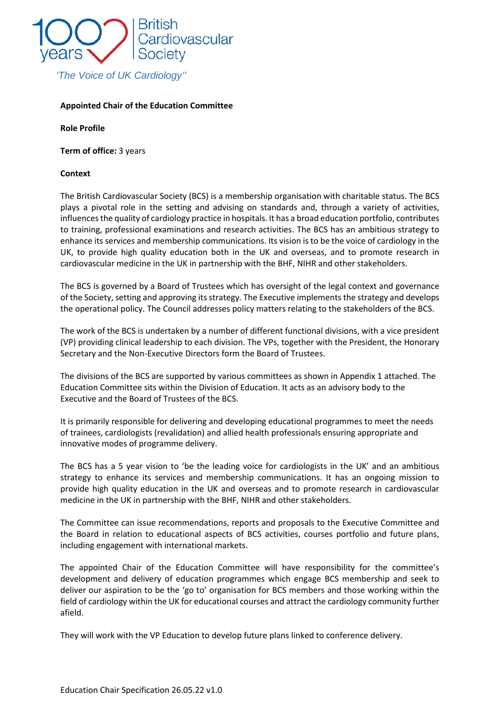

### **Appointed Chair of the Education Committee**

**Role Profile**

**Term of office:** 3 years

#### **Context**

The British Cardiovascular Society (BCS) is a membership organisation with charitable status. The BCS plays a pivotal role in the setting and advising on standards and, through a variety of activities, influences the quality of cardiology practice in hospitals. It has a broad education portfolio, contributes to training, professional examinations and research activities. The BCS has an ambitious strategy to enhance its services and membership communications. Its vision is to be the voice of cardiology in the UK, to provide high quality education both in the UK and overseas, and to promote research in cardiovascular medicine in the UK in partnership with the BHF, NIHR and other stakeholders.

The BCS is governed by a Board of Trustees which has oversight of the legal context and governance of the Society, setting and approving itsstrategy. The Executive implements the strategy and develops the operational policy. The Council addresses policy matters relating to the stakeholders of the BCS.

The work of the BCS is undertaken by a number of different functional divisions, with a vice president (VP) providing clinical leadership to each division. The VPs, together with the President, the Honorary Secretary and the Non-Executive Directors form the Board of Trustees.

The divisions of the BCS are supported by various committees as shown in Appendix 1 attached. The Education Committee sits within the Division of Education. It acts as an advisory body to the Executive and the Board of Trustees of the BCS.

It is primarily responsible for delivering and developing educational programmes to meet the needs of trainees, cardiologists (revalidation) and allied health professionals ensuring appropriate and innovative modes of programme delivery.

The BCS has a 5 year vision to 'be the leading voice for cardiologists in the UK' and an ambitious strategy to enhance its services and membership communications. It has an ongoing mission to provide high quality education in the UK and overseas and to promote research in cardiovascular medicine in the UK in partnership with the BHF, NIHR and other stakeholders.

The Committee can issue recommendations, reports and proposals to the Executive Committee and the Board in relation to educational aspects of BCS activities, courses portfolio and future plans, including engagement with international markets.

The appointed Chair of the Education Committee will have responsibility for the committee's development and delivery of education programmes which engage BCS membership and seek to deliver our aspiration to be the 'go to' organisation for BCS members and those working within the field of cardiology within the UK for educational courses and attract the cardiology community further afield.

They will work with the VP Education to develop future plans linked to conference delivery.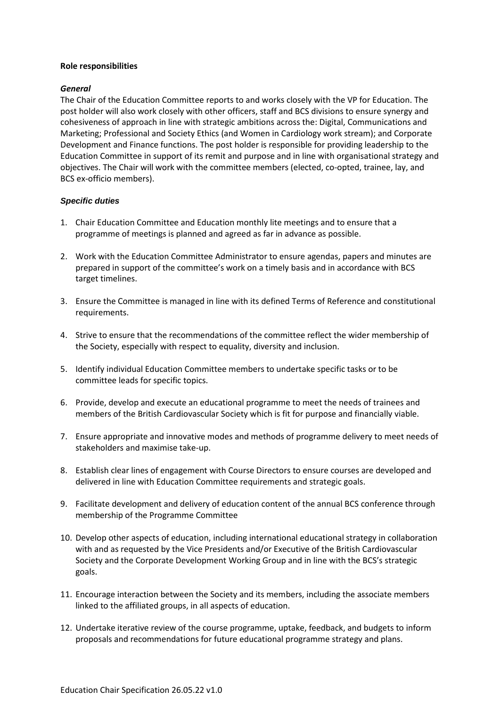#### **Role responsibilities**

### *General*

The Chair of the Education Committee reports to and works closely with the VP for Education. The post holder will also work closely with other officers, staff and BCS divisions to ensure synergy and cohesiveness of approach in line with strategic ambitions across the: Digital, Communications and Marketing; Professional and Society Ethics (and Women in Cardiology work stream); and Corporate Development and Finance functions. The post holder is responsible for providing leadership to the Education Committee in support of its remit and purpose and in line with organisational strategy and objectives. The Chair will work with the committee members (elected, co-opted, trainee, lay, and BCS ex-officio members).

## *Specific duties*

- 1. Chair Education Committee and Education monthly lite meetings and to ensure that a programme of meetings is planned and agreed as far in advance as possible.
- 2. Work with the Education Committee Administrator to ensure agendas, papers and minutes are prepared in support of the committee's work on a timely basis and in accordance with BCS target timelines.
- 3. Ensure the Committee is managed in line with its defined Terms of Reference and constitutional requirements.
- 4. Strive to ensure that the recommendations of the committee reflect the wider membership of the Society, especially with respect to equality, diversity and inclusion.
- 5. Identify individual Education Committee members to undertake specific tasks or to be committee leads for specific topics.
- 6. Provide, develop and execute an educational programme to meet the needs of trainees and members of the British Cardiovascular Society which is fit for purpose and financially viable.
- 7. Ensure appropriate and innovative modes and methods of programme delivery to meet needs of stakeholders and maximise take-up.
- 8. Establish clear lines of engagement with Course Directors to ensure courses are developed and delivered in line with Education Committee requirements and strategic goals.
- 9. Facilitate development and delivery of education content of the annual BCS conference through membership of the Programme Committee
- 10. Develop other aspects of education, including international educational strategy in collaboration with and as requested by the Vice Presidents and/or Executive of the British Cardiovascular Society and the Corporate Development Working Group and in line with the BCS's strategic goals.
- 11. Encourage interaction between the Society and its members, including the associate members linked to the affiliated groups, in all aspects of education.
- 12. Undertake iterative review of the course programme, uptake, feedback, and budgets to inform proposals and recommendations for future educational programme strategy and plans.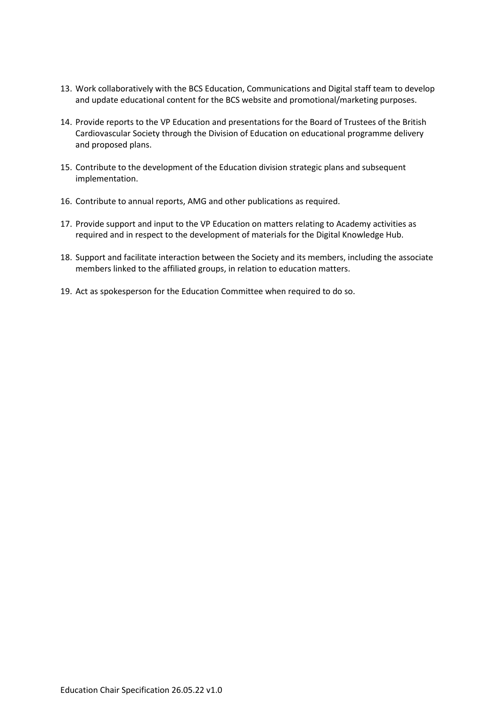- 13. Work collaboratively with the BCS Education, Communications and Digital staff team to develop and update educational content for the BCS website and promotional/marketing purposes.
- 14. Provide reports to the VP Education and presentations for the Board of Trustees of the British Cardiovascular Society through the Division of Education on educational programme delivery and proposed plans.
- 15. Contribute to the development of the Education division strategic plans and subsequent implementation.
- 16. Contribute to annual reports, AMG and other publications as required.
- 17. Provide support and input to the VP Education on matters relating to Academy activities as required and in respect to the development of materials for the Digital Knowledge Hub.
- 18. Support and facilitate interaction between the Society and its members, including the associate members linked to the affiliated groups, in relation to education matters.
- 19. Act as spokesperson for the Education Committee when required to do so.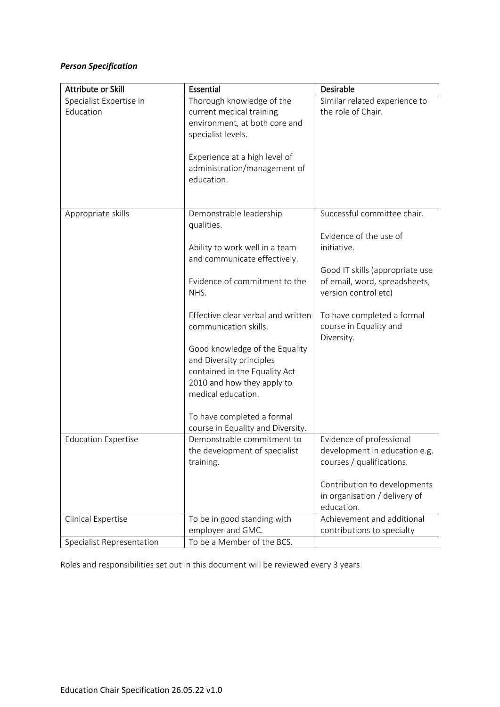# *Person Specification*

| Attribute or Skill                   | Essential                                                                                                                                                                                                                                                                                                                                                                                                                             | Desirable                                                                                                                                                                                                                              |
|--------------------------------------|---------------------------------------------------------------------------------------------------------------------------------------------------------------------------------------------------------------------------------------------------------------------------------------------------------------------------------------------------------------------------------------------------------------------------------------|----------------------------------------------------------------------------------------------------------------------------------------------------------------------------------------------------------------------------------------|
| Specialist Expertise in<br>Education | Thorough knowledge of the<br>current medical training<br>environment, at both core and<br>specialist levels.<br>Experience at a high level of<br>administration/management of<br>education.                                                                                                                                                                                                                                           | Similar related experience to<br>the role of Chair.                                                                                                                                                                                    |
| Appropriate skills                   | Demonstrable leadership<br>qualities.<br>Ability to work well in a team<br>and communicate effectively.<br>Evidence of commitment to the<br>NHS.<br>Effective clear verbal and written<br>communication skills.<br>Good knowledge of the Equality<br>and Diversity principles<br>contained in the Equality Act<br>2010 and how they apply to<br>medical education.<br>To have completed a formal<br>course in Equality and Diversity. | Successful committee chair.<br>Evidence of the use of<br>initiative.<br>Good IT skills (appropriate use<br>of email, word, spreadsheets,<br>version control etc)<br>To have completed a formal<br>course in Equality and<br>Diversity. |
| <b>Education Expertise</b>           | Demonstrable commitment to<br>the development of specialist<br>training.                                                                                                                                                                                                                                                                                                                                                              | Evidence of professional<br>development in education e.g.<br>courses / qualifications.<br>Contribution to developments<br>in organisation / delivery of<br>education.                                                                  |
| Clinical Expertise                   | To be in good standing with<br>employer and GMC.                                                                                                                                                                                                                                                                                                                                                                                      | Achievement and additional<br>contributions to specialty                                                                                                                                                                               |
| Specialist Representation            | To be a Member of the BCS.                                                                                                                                                                                                                                                                                                                                                                                                            |                                                                                                                                                                                                                                        |

Roles and responsibilities set out in this document will be reviewed every 3 years